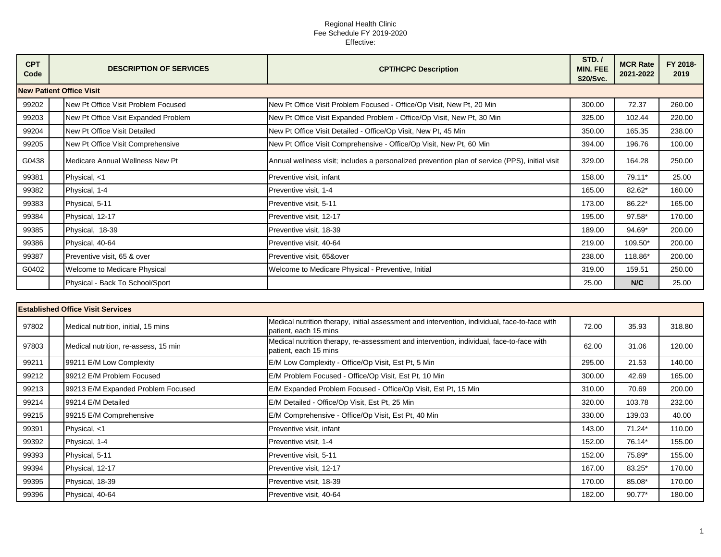| <b>CPT</b><br>Code | <b>DESCRIPTION OF SERVICES</b>       | <b>CPT/HCPC Description</b>                                                                    | STD./<br><b>MIN. FEE</b><br>\$20/Svc. | <b>MCR Rate</b><br>2021-2022 | FY 2018-<br>2019 |
|--------------------|--------------------------------------|------------------------------------------------------------------------------------------------|---------------------------------------|------------------------------|------------------|
|                    | <b>New Patient Office Visit</b>      |                                                                                                |                                       |                              |                  |
| 99202              | New Pt Office Visit Problem Focused  | New Pt Office Visit Problem Focused - Office/Op Visit, New Pt, 20 Min                          | 300.00                                | 72.37                        | 260.00           |
| 99203              | New Pt Office Visit Expanded Problem | New Pt Office Visit Expanded Problem - Office/Op Visit, New Pt, 30 Min                         | 325.00                                | 102.44                       | 220.00           |
| 99204              | New Pt Office Visit Detailed         | New Pt Office Visit Detailed - Office/Op Visit, New Pt, 45 Min                                 | 350.00                                | 165.35                       | 238.00           |
| 99205              | New Pt Office Visit Comprehensive    | New Pt Office Visit Comprehensive - Office/Op Visit, New Pt, 60 Min                            | 394.00                                | 196.76                       | 100.00           |
| G0438              | Medicare Annual Wellness New Pt      | Annual wellness visit; includes a personalized prevention plan of service (PPS), initial visit | 329.00                                | 164.28                       | 250.00           |
| 99381              | Physical, <1                         | Preventive visit, infant                                                                       | 158.00                                | 79.11*                       | 25.00            |
| 99382              | Physical, 1-4                        | Preventive visit, 1-4                                                                          | 165.00                                | 82.62*                       | 160.00           |
| 99383              | Physical, 5-11                       | Preventive visit, 5-11                                                                         | 173.00                                | 86.22*                       | 165.00           |
| 99384              | Physical, 12-17                      | Preventive visit, 12-17                                                                        | 195.00                                | 97.58*                       | 170.00           |
| 99385              | Physical, 18-39                      | Preventive visit, 18-39                                                                        | 189.00                                | 94.69*                       | 200.00           |
| 99386              | Physical, 40-64                      | Preventive visit, 40-64                                                                        | 219.00                                | 109.50*                      | 200.00           |
| 99387              | Preventive visit, 65 & over          | Preventive visit, 65&over                                                                      | 238.00                                | 118.86*                      | 200.00           |
| G0402              | <b>Welcome to Medicare Physical</b>  | Welcome to Medicare Physical - Preventive, Initial                                             | 319.00                                | 159.51                       | 250.00           |
|                    | Physical - Back To School/Sport      |                                                                                                | 25.00                                 | N/C                          | 25.00            |

|       | <b>Established Office Visit Services</b> |                                      |                                                                                                                        |        |          |        |  |  |  |
|-------|------------------------------------------|--------------------------------------|------------------------------------------------------------------------------------------------------------------------|--------|----------|--------|--|--|--|
| 97802 |                                          | Medical nutrition, initial, 15 mins  | Medical nutrition therapy, initial assessment and intervention, individual, face-to-face with<br>patient, each 15 mins | 72.00  | 35.93    | 318.80 |  |  |  |
| 97803 |                                          | Medical nutrition, re-assess, 15 min | Medical nutrition therapy, re-assessment and intervention, individual, face-to-face with<br>patient, each 15 mins      | 62.00  | 31.06    | 120.00 |  |  |  |
| 99211 |                                          | 99211 E/M Low Complexity             | E/M Low Complexity - Office/Op Visit, Est Pt, 5 Min                                                                    | 295.00 | 21.53    | 140.00 |  |  |  |
| 99212 |                                          | 99212 E/M Problem Focused            | E/M Problem Focused - Office/Op Visit, Est Pt, 10 Min                                                                  | 300.00 | 42.69    | 165.00 |  |  |  |
| 99213 |                                          | 99213 E/M Expanded Problem Focused   | E/M Expanded Problem Focused - Office/Op Visit, Est Pt, 15 Min                                                         | 310.00 | 70.69    | 200.00 |  |  |  |
| 99214 |                                          | 99214 E/M Detailed                   | E/M Detailed - Office/Op Visit, Est Pt, 25 Min                                                                         | 320.00 | 103.78   | 232.00 |  |  |  |
| 99215 |                                          | 99215 E/M Comprehensive              | E/M Comprehensive - Office/Op Visit, Est Pt, 40 Min                                                                    | 330.00 | 139.03   | 40.00  |  |  |  |
| 99391 |                                          | Physical, <1                         | Preventive visit, infant                                                                                               | 143.00 | $71.24*$ | 110.00 |  |  |  |
| 99392 |                                          | Physical, 1-4                        | Preventive visit, 1-4                                                                                                  | 152.00 | 76.14*   | 155.00 |  |  |  |
| 99393 |                                          | Physical, 5-11                       | Preventive visit, 5-11                                                                                                 | 152.00 | 75.89*   | 155.00 |  |  |  |
| 99394 |                                          | Physical, 12-17                      | Preventive visit, 12-17                                                                                                | 167.00 | 83.25*   | 170.00 |  |  |  |
| 99395 |                                          | Physical, 18-39                      | Preventive visit, 18-39                                                                                                | 170.00 | 85.08*   | 170.00 |  |  |  |
| 99396 |                                          | Physical, 40-64                      | Preventive visit, 40-64                                                                                                | 182.00 | $90.77*$ | 180.00 |  |  |  |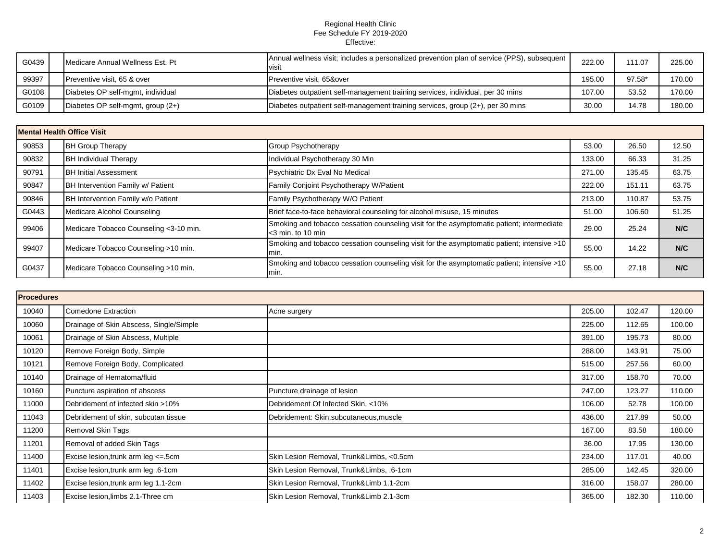| G0439 | Medicare Annual Wellness Est. Pt    | Annual wellness visit; includes a personalized prevention plan of service (PPS), subsequent<br>visit | 222.00 | 111.07 | 225.00 |
|-------|-------------------------------------|------------------------------------------------------------------------------------------------------|--------|--------|--------|
| 99397 | Preventive visit, 65 & over         | Preventive visit, 65&over                                                                            | 195.00 | 97.58* | 170.00 |
| G0108 | Diabetes OP self-mgmt, individual   | Diabetes outpatient self-management training services, individual, per 30 mins                       | 107.00 | 53.52  | 170.00 |
| G0109 | Diabetes OP self-mgmt, group $(2+)$ | Diabetes outpatient self-management training services, group (2+), per 30 mins                       | 30.00  | 14.78  | 180.00 |

|       | <b>Mental Health Office Visit</b>       |                                                                                                                         |        |        |       |  |  |  |
|-------|-----------------------------------------|-------------------------------------------------------------------------------------------------------------------------|--------|--------|-------|--|--|--|
| 90853 | <b>BH Group Therapy</b>                 | Group Psychotherapy                                                                                                     | 53.00  | 26.50  | 12.50 |  |  |  |
| 90832 | <b>BH Individual Therapy</b>            | Individual Psychotherapy 30 Min                                                                                         | 133.00 | 66.33  | 31.25 |  |  |  |
| 90791 | <b>BH Initial Assessment</b>            | Psychiatric Dx Eval No Medical                                                                                          | 271.00 | 135.45 | 63.75 |  |  |  |
| 90847 | BH Intervention Family w/ Patient       | Family Conjoint Psychotherapy W/Patient                                                                                 | 222.00 | 151.11 | 63.75 |  |  |  |
| 90846 | BH Intervention Family w/o Patient      | Family Psychotherapy W/O Patient                                                                                        | 213.00 | 110.87 | 53.75 |  |  |  |
| G0443 | Medicare Alcohol Counseling             | Brief face-to-face behavioral counseling for alcohol misuse, 15 minutes                                                 | 51.00  | 106.60 | 51.25 |  |  |  |
| 99406 | Medicare Tobacco Counseling < 3-10 min. | Smoking and tobacco cessation counseling visit for the asymptomatic patient; intermediate<br>$\approx$ 3 min. to 10 min | 29.00  | 25.24  | N/C   |  |  |  |
| 99407 | Medicare Tobacco Counseling >10 min.    | Smoking and tobacco cessation counseling visit for the asymptomatic patient; intensive >10<br>min.                      | 55.00  | 14.22  | N/C   |  |  |  |
| G0437 | Medicare Tobacco Counseling >10 min.    | Smoking and tobacco cessation counseling visit for the asymptomatic patient; intensive >10<br>min.                      | 55.00  | 27.18  | N/C   |  |  |  |

|       | <b>Procedures</b> |                                         |                                          |        |        |        |  |  |
|-------|-------------------|-----------------------------------------|------------------------------------------|--------|--------|--------|--|--|
| 10040 |                   | <b>Comedone Extraction</b>              | Acne surgery                             | 205.00 | 102.47 | 120.00 |  |  |
| 10060 |                   | Drainage of Skin Abscess, Single/Simple |                                          | 225.00 | 112.65 | 100.00 |  |  |
| 10061 |                   | Drainage of Skin Abscess, Multiple      |                                          | 391.00 | 195.73 | 80.00  |  |  |
| 10120 |                   | Remove Foreign Body, Simple             |                                          | 288.00 | 143.91 | 75.00  |  |  |
| 10121 |                   | Remove Foreign Body, Complicated        |                                          | 515.00 | 257.56 | 60.00  |  |  |
| 10140 |                   | Drainage of Hematoma/fluid              |                                          | 317.00 | 158.70 | 70.00  |  |  |
| 10160 |                   | Puncture aspiration of abscess          | Puncture drainage of lesion              | 247.00 | 123.27 | 110.00 |  |  |
| 11000 |                   | Debridement of infected skin >10%       | Debridement Of Infected Skin, <10%       | 106.00 | 52.78  | 100.00 |  |  |
| 11043 |                   | Debridement of skin, subcutan tissue    | Debridement: Skin,subcutaneous,muscle    | 436.00 | 217.89 | 50.00  |  |  |
| 11200 |                   | Removal Skin Tags                       |                                          | 167.00 | 83.58  | 180.00 |  |  |
| 11201 |                   | Removal of added Skin Tags              |                                          | 36.00  | 17.95  | 130.00 |  |  |
| 11400 |                   | Excise lesion, trunk arm leg <= .5cm    | Skin Lesion Removal, Trunk&Limbs, <0.5cm | 234.00 | 117.01 | 40.00  |  |  |
| 11401 |                   | Excise lesion, trunk arm leg .6-1cm     | Skin Lesion Removal, Trunk&Limbs, .6-1cm | 285.00 | 142.45 | 320.00 |  |  |
| 11402 |                   | Excise lesion, trunk arm leg 1.1-2cm    | Skin Lesion Removal, Trunk&Limb 1.1-2cm  | 316.00 | 158.07 | 280.00 |  |  |
| 11403 |                   | Excise lesion, limbs 2.1-Three cm       | Skin Lesion Removal, Trunk&Limb 2.1-3cm  | 365.00 | 182.30 | 110.00 |  |  |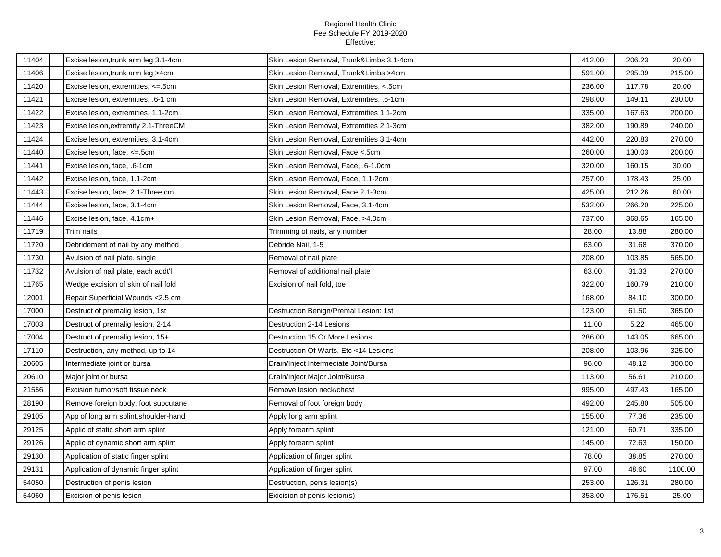| 11404 | Excise lesion, trunk arm leg 3.1-4cm  | Skin Lesion Removal, Trunk&Limbs 3.1-4cm | 412.00 | 206.23 | 20.00   |
|-------|---------------------------------------|------------------------------------------|--------|--------|---------|
| 11406 | Excise lesion, trunk arm leg >4cm     | Skin Lesion Removal, Trunk&Limbs >4cm    | 591.00 | 295.39 | 215.00  |
| 11420 | Excise lesion, extremities, <= .5cm   | Skin Lesion Removal, Extremities, <.5cm  | 236.00 | 117.78 | 20.00   |
| 11421 | Excise lesion, extremities, .6-1 cm   | Skin Lesion Removal, Extremities, .6-1cm | 298.00 | 149.11 | 230.00  |
| 11422 | Excise lesion, extremities, 1.1-2cm   | Skin Lesion Removal, Extremities 1.1-2cm | 335.00 | 167.63 | 200.00  |
| 11423 | Excise lesion, extremity 2.1-ThreeCM  | Skin Lesion Removal, Extremities 2.1-3cm | 382.00 | 190.89 | 240.00  |
| 11424 | Excise lesion, extremities, 3.1-4cm   | Skin Lesion Removal, Extremities 3.1-4cm | 442.00 | 220.83 | 270.00  |
| 11440 | Excise lesion, face, <= .5cm          | Skin Lesion Removal, Face <.5cm          | 260.00 | 130.03 | 200.00  |
| 11441 | Excise lesion, face, .6-1cm           | Skin Lesion Removal, Face, .6-1.0cm      | 320.00 | 160.15 | 30.00   |
| 11442 | Excise lesion, face, 1.1-2cm          | Skin Lesion Removal, Face, 1.1-2cm       | 257.00 | 178.43 | 25.00   |
| 11443 | Excise lesion, face, 2.1-Three cm     | Skin Lesion Removal, Face 2.1-3cm        | 425.00 | 212.26 | 60.00   |
| 11444 | Excise lesion, face, 3.1-4cm          | Skin Lesion Removal, Face, 3.1-4cm       | 532.00 | 266.20 | 225.00  |
| 11446 | Excise lesion, face, 4.1cm+           | Skin Lesion Removal, Face, >4.0cm        | 737.00 | 368.65 | 165.00  |
| 11719 | Trim nails                            | Trimming of nails, any number            | 28.00  | 13.88  | 280.00  |
| 11720 | Debridement of nail by any method     | Debride Nail, 1-5                        | 63.00  | 31.68  | 370.00  |
| 11730 | Avulsion of nail plate, single        | Removal of nail plate                    | 208.00 | 103.85 | 565.00  |
| 11732 | Avulsion of nail plate, each addt'l   | Removal of additional nail plate         | 63.00  | 31.33  | 270.00  |
| 11765 | Wedge excision of skin of nail fold   | Excision of nail fold, toe               | 322.00 | 160.79 | 210.00  |
| 12001 | Repair Superficial Wounds <2.5 cm     |                                          | 168.00 | 84.10  | 300.00  |
| 17000 | Destruct of premalig lesion, 1st      | Destruction Benign/Premal Lesion: 1st    | 123.00 | 61.50  | 365.00  |
| 17003 | Destruct of premalig lesion, 2-14     | Destruction 2-14 Lesions                 | 11.00  | 5.22   | 465.00  |
| 17004 | Destruct of premalig lesion, 15+      | Destruction 15 Or More Lesions           | 286.00 | 143.05 | 665.00  |
| 17110 | Destruction, any method, up to 14     | Destruction Of Warts, Etc <14 Lesions    | 208.00 | 103.96 | 325.00  |
| 20605 | Intermediate joint or bursa           | Drain/Inject Intermediate Joint/Bursa    | 96.00  | 48.12  | 300.00  |
| 20610 | Major joint or bursa                  | Drain/Inject Major Joint/Bursa           | 113.00 | 56.61  | 210.00  |
| 21556 | Excision tumor/soft tissue neck       | Remove lesion neck/chest                 | 995.00 | 497.43 | 165.00  |
| 28190 | Remove foreign body, foot subcutane   | Removal of foot foreign body             | 492.00 | 245.80 | 505.00  |
| 29105 | App of long arm splint, shoulder-hand | Apply long arm splint                    | 155.00 | 77.36  | 235.00  |
| 29125 | Applic of static short arm splint     | Apply forearm splint                     | 121.00 | 60.71  | 335.00  |
| 29126 | Applic of dynamic short arm splint    | Apply forearm splint                     | 145.00 | 72.63  | 150.00  |
| 29130 | Application of static finger splint   | Application of finger splint             | 78.00  | 38.85  | 270.00  |
| 29131 | Application of dynamic finger splint  | Application of finger splint             | 97.00  | 48.60  | 1100.00 |
| 54050 | Destruction of penis lesion           | Destruction, penis lesion(s)             | 253.00 | 126.31 | 280.00  |
| 54060 | Excision of penis lesion              | Exicision of penis lesion(s)             | 353.00 | 176.51 | 25.00   |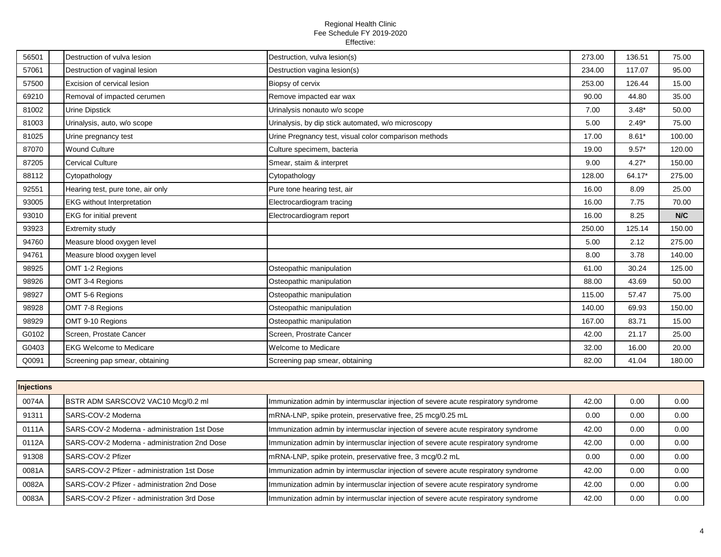| 56501 | Destruction of vulva lesion       | Destruction, vulva lesion(s)                          | 273.00 | 136.51  | 75.00  |
|-------|-----------------------------------|-------------------------------------------------------|--------|---------|--------|
| 57061 | Destruction of vaginal lesion     | Destruction vagina lesion(s)                          | 234.00 | 117.07  | 95.00  |
| 57500 | Excision of cervical lesion       | Biopsy of cervix                                      | 253.00 | 126.44  | 15.00  |
| 69210 | Removal of impacted cerumen       | Remove impacted ear wax                               | 90.00  | 44.80   | 35.00  |
| 81002 | <b>Urine Dipstick</b>             | Urinalysis nonauto w/o scope                          | 7.00   | $3.48*$ | 50.00  |
| 81003 | Urinalysis, auto, w/o scope       | Urinalysis, by dip stick automated, w/o microscopy    | 5.00   | $2.49*$ | 75.00  |
| 81025 | Urine pregnancy test              | Urine Pregnancy test, visual color comparison methods | 17.00  | $8.61*$ | 100.00 |
| 87070 | <b>Wound Culture</b>              | Culture specimem, bacteria                            | 19.00  | $9.57*$ | 120.00 |
| 87205 | <b>Cervical Culture</b>           | Smear, staim & interpret                              | 9.00   | $4.27*$ | 150.00 |
| 88112 | Cytopathology                     | Cytopathology                                         | 128.00 | 64.17*  | 275.00 |
| 92551 | Hearing test, pure tone, air only | Pure tone hearing test, air                           | 16.00  | 8.09    | 25.00  |
| 93005 | <b>EKG</b> without Interpretation | Electrocardiogram tracing                             | 16.00  | 7.75    | 70.00  |
| 93010 | <b>EKG</b> for initial prevent    | Electrocardiogram report                              | 16.00  | 8.25    | N/C    |
| 93923 | <b>Extremity study</b>            |                                                       | 250.00 | 125.14  | 150.00 |
| 94760 | Measure blood oxygen level        |                                                       | 5.00   | 2.12    | 275.00 |
| 94761 | Measure blood oxygen level        |                                                       | 8.00   | 3.78    | 140.00 |
| 98925 | OMT 1-2 Regions                   | Osteopathic manipulation                              | 61.00  | 30.24   | 125.00 |
| 98926 | OMT 3-4 Regions                   | Osteopathic manipulation                              | 88.00  | 43.69   | 50.00  |
| 98927 | OMT 5-6 Regions                   | Osteopathic manipulation                              | 115.00 | 57.47   | 75.00  |
| 98928 | OMT 7-8 Regions                   | Osteopathic manipulation                              | 140.00 | 69.93   | 150.00 |
| 98929 | OMT 9-10 Regions                  | Osteopathic manipulation                              | 167.00 | 83.71   | 15.00  |
| G0102 | Screen, Prostate Cancer           | Screen, Prostrate Cancer                              | 42.00  | 21.17   | 25.00  |
| G0403 | <b>EKG Welcome to Medicare</b>    | Welcome to Medicare                                   | 32.00  | 16.00   | 20.00  |
| Q0091 | Screening pap smear, obtaining    | Screening pap smear, obtaining                        | 82.00  | 41.04   | 180.00 |

|       | <b>Injections</b> |                                              |                                                                                   |       |      |      |  |  |
|-------|-------------------|----------------------------------------------|-----------------------------------------------------------------------------------|-------|------|------|--|--|
| 0074A |                   | BSTR ADM SARSCOV2 VAC10 Mcg/0.2 ml           | Immunization admin by intermusclar injection of severe acute respiratory syndrome | 42.00 | 0.00 | 0.00 |  |  |
| 91311 |                   | SARS-COV-2 Moderna                           | mRNA-LNP, spike protein, preservative free, 25 mcg/0.25 mL                        | 0.00  | 0.00 | 0.00 |  |  |
| 0111A |                   | SARS-COV-2 Moderna - administration 1st Dose | Immunization admin by intermusclar injection of severe acute respiratory syndrome | 42.00 | 0.00 | 0.00 |  |  |
| 0112A |                   | SARS-COV-2 Moderna - administration 2nd Dose | Immunization admin by intermusclar injection of severe acute respiratory syndrome | 42.00 | 0.00 | 0.00 |  |  |
| 91308 |                   | SARS-COV-2 Pfizer                            | mRNA-LNP, spike protein, preservative free, 3 mcg/0.2 mL                          | 0.00  | 0.00 | 0.00 |  |  |
| 0081A |                   | SARS-COV-2 Pfizer - administration 1st Dose  | Immunization admin by intermusclar injection of severe acute respiratory syndrome | 42.00 | 0.00 | 0.00 |  |  |
| 0082A |                   | SARS-COV-2 Pfizer - administration 2nd Dose  | Immunization admin by intermusclar injection of severe acute respiratory syndrome | 42.00 | 0.00 | 0.00 |  |  |
| 0083A |                   | SARS-COV-2 Pfizer - administration 3rd Dose  | Immunization admin by intermusclar injection of severe acute respiratory syndrome | 42.00 | 0.00 | 0.00 |  |  |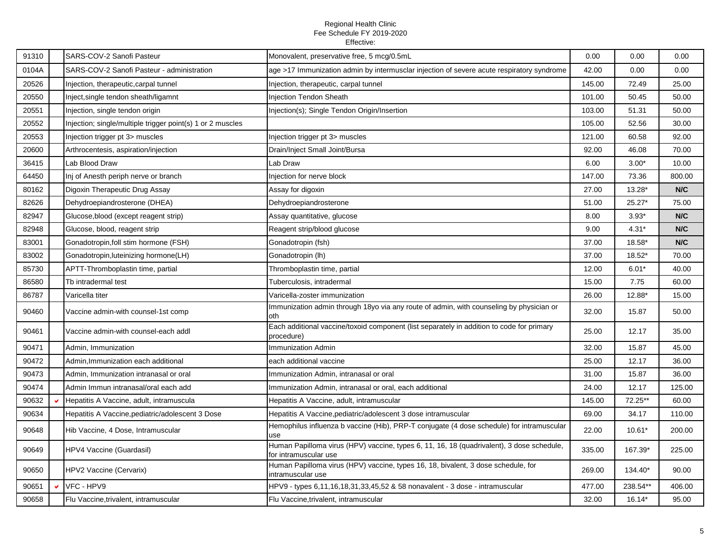| 91310 | SARS-COV-2 Sanofi Pasteur                                  | Monovalent, preservative free, 5 mcg/0.5mL                                                                         | 0.00   | 0.00     | 0.00   |
|-------|------------------------------------------------------------|--------------------------------------------------------------------------------------------------------------------|--------|----------|--------|
| 0104A | SARS-COV-2 Sanofi Pasteur - administration                 | age >17 Immunization admin by intermusclar injection of severe acute respiratory syndrome                          | 42.00  | 0.00     | 0.00   |
| 20526 | Injection, therapeutic, carpal tunnel                      | Injection, therapeutic, carpal tunnel                                                                              | 145.00 | 72.49    | 25.00  |
| 20550 | Inject, single tendon sheath/ligamnt                       | <b>Injection Tendon Sheath</b>                                                                                     | 101.00 | 50.45    | 50.00  |
| 20551 | Injection, single tendon origin                            | Injection(s); Single Tendon Origin/Insertion                                                                       | 103.00 | 51.31    | 50.00  |
| 20552 | Injection; single/multiple trigger point(s) 1 or 2 muscles |                                                                                                                    | 105.00 | 52.56    | 30.00  |
| 20553 | Injection trigger pt 3> muscles                            | Injection trigger pt 3> muscles                                                                                    | 121.00 | 60.58    | 92.00  |
| 20600 | Arthrocentesis, aspiration/injection                       | Drain/Inject Small Joint/Bursa                                                                                     | 92.00  | 46.08    | 70.00  |
| 36415 | Lab Blood Draw                                             | Lab Draw                                                                                                           | 6.00   | $3.00*$  | 10.00  |
| 64450 | Inj of Anesth periph nerve or branch                       | Injection for nerve block                                                                                          | 147.00 | 73.36    | 800.00 |
| 80162 | Digoxin Therapeutic Drug Assay                             | Assay for digoxin                                                                                                  | 27.00  | 13.28*   | N/C    |
| 82626 | Dehydroepiandrosterone (DHEA)                              | Dehydroepiandrosterone                                                                                             | 51.00  | $25.27*$ | 75.00  |
| 82947 | Glucose, blood (except reagent strip)                      | Assay quantitative, glucose                                                                                        | 8.00   | $3.93*$  | N/C    |
| 82948 | Glucose, blood, reagent strip                              | Reagent strip/blood glucose                                                                                        | 9.00   | $4.31*$  | N/C    |
| 83001 | Gonadotropin, foll stim hormone (FSH)                      | Gonadotropin (fsh)                                                                                                 | 37.00  | 18.58*   | N/C    |
| 83002 | Gonadotropin, luteinizing hormone(LH)                      | Gonadotropin (lh)                                                                                                  | 37.00  | 18.52*   | 70.00  |
| 85730 | APTT-Thromboplastin time, partial                          | Thromboplastin time, partial                                                                                       | 12.00  | $6.01*$  | 40.00  |
| 86580 | Tb intradermal test                                        | Tuberculosis, intradermal                                                                                          | 15.00  | 7.75     | 60.00  |
| 86787 | Varicella titer                                            | Varicella-zoster immunization                                                                                      | 26.00  | 12.88*   | 15.00  |
| 90460 | Vaccine admin-with counsel-1st comp                        | Immunization admin through 18yo via any route of admin, with counseling by physician or<br>oth                     | 32.00  | 15.87    | 50.00  |
| 90461 | Vaccine admin-with counsel-each addl                       | Each additional vaccine/toxoid component (list separately in addition to code for primary<br>procedure)            | 25.00  | 12.17    | 35.00  |
| 90471 | Admin, Immunization                                        | Immunization Admin                                                                                                 | 32.00  | 15.87    | 45.00  |
| 90472 | Admin, Immunization each additional                        | each additional vaccine                                                                                            | 25.00  | 12.17    | 36.00  |
| 90473 | Admin, Immunization intranasal or oral                     | Immunization Admin, intranasal or oral                                                                             | 31.00  | 15.87    | 36.00  |
| 90474 | Admin Immun intranasal/oral each add                       | Immunization Admin, intranasal or oral, each additional                                                            | 24.00  | 12.17    | 125.00 |
| 90632 | Hepatitis A Vaccine, adult, intramuscula                   | Hepatitis A Vaccine, adult, intramuscular                                                                          | 145.00 | 72.25**  | 60.00  |
| 90634 | Hepatitis A Vaccine, pediatric/adolescent 3 Dose           | Hepatitis A Vaccine, pediatric/adolescent 3 dose intramuscular                                                     | 69.00  | 34.17    | 110.00 |
| 90648 | Hib Vaccine, 4 Dose, Intramuscular                         | Hemophilus influenza b vaccine (Hib), PRP-T conjugate (4 dose schedule) for intramuscular<br>use                   | 22.00  | $10.61*$ | 200.00 |
| 90649 | HPV4 Vaccine (Guardasil)                                   | Human Papilloma virus (HPV) vaccine, types 6, 11, 16, 18 (quadrivalent), 3 dose schedule,<br>for intramuscular use | 335.00 | 167.39*  | 225.00 |
| 90650 | <b>HPV2 Vaccine (Cervarix)</b>                             | Human Papilloma virus (HPV) vaccine, types 16, 18, bivalent, 3 dose schedule, for<br>intramuscular use             | 269.00 | 134.40*  | 90.00  |
| 90651 | VFC - HPV9                                                 | HPV9 - types 6,11,16,18,31,33,45,52 & 58 nonavalent - 3 dose - intramuscular                                       | 477.00 | 238.54** | 406.00 |
| 90658 | Flu Vaccine, trivalent, intramuscular                      | Flu Vaccine, trivalent, intramuscular                                                                              | 32.00  | $16.14*$ | 95.00  |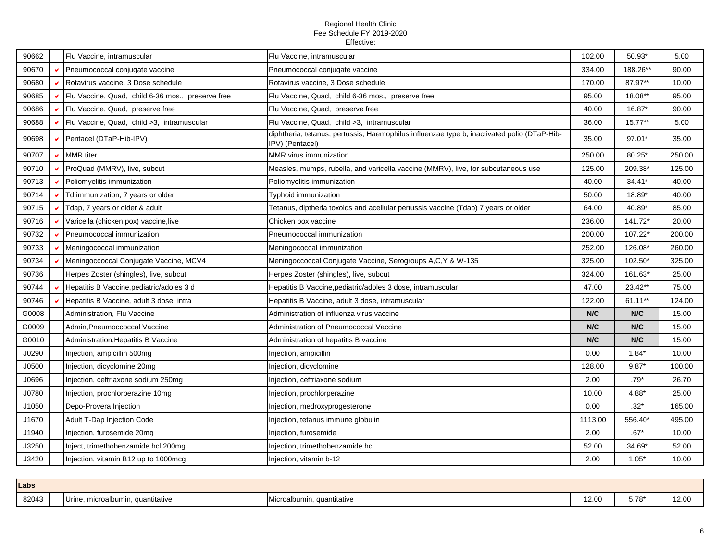| 90662 |    | Flu Vaccine, intramuscular                        | Flu Vaccine, intramuscular                                                                                     | 102.00  | 50.93*   | 5.00   |
|-------|----|---------------------------------------------------|----------------------------------------------------------------------------------------------------------------|---------|----------|--------|
| 90670 |    | Pneumococcal conjugate vaccine                    | Pneumococcal conjugate vaccine                                                                                 | 334.00  | 188.26** | 90.00  |
| 90680 |    | Rotavirus vaccine, 3 Dose schedule                | Rotavirus vaccine, 3 Dose schedule                                                                             | 170.00  | 87.97**  | 10.00  |
| 90685 | v  | Flu Vaccine, Quad, child 6-36 mos., preserve free | Flu Vaccine, Quad, child 6-36 mos., preserve free                                                              | 95.00   | 18.08**  | 95.00  |
| 90686 |    | Flu Vaccine, Quad, preserve free                  | Flu Vaccine, Quad, preserve free                                                                               | 40.00   | 16.87*   | 90.00  |
| 90688 |    | Flu Vaccine, Quad, child >3, intramuscular        | Flu Vaccine, Quad, child >3, intramuscular                                                                     | 36.00   | 15.77**  | 5.00   |
| 90698 |    | Pentacel (DTaP-Hib-IPV)                           | diphtheria, tetanus, pertussis, Haemophilus influenzae type b, inactivated polio (DTaP-Hib-<br>IPV) (Pentacel) | 35.00   | 97.01*   | 35.00  |
| 90707 | v. | <b>MMR</b> titer                                  | MMR virus immunization                                                                                         | 250.00  | 80.25*   | 250.00 |
| 90710 |    | ProQuad (MMRV), live, subcut                      | Measles, mumps, rubella, and varicella vaccine (MMRV), live, for subcutaneous use                              | 125.00  | 209.38*  | 125.00 |
| 90713 |    | Poliomyelitis immunization                        | Poliomyelitis immunization                                                                                     | 40.00   | 34.41*   | 40.00  |
| 90714 |    | Td immunization, 7 years or older                 | Typhoid immunization                                                                                           | 50.00   | 18.89*   | 40.00  |
| 90715 | v  | Tdap, 7 years or older & adult                    | Tetanus, diptheria toxoids and acellular pertussis vaccine (Tdap) 7 years or older                             | 64.00   | 40.89*   | 85.00  |
| 90716 |    | Varicella (chicken pox) vaccine, live             | Chicken pox vaccine                                                                                            | 236.00  | 141.72*  | 20.00  |
| 90732 |    | Pneumococcal immunization                         | Pneumococcal immunization                                                                                      | 200.00  | 107.22*  | 200.00 |
| 90733 | v. | Meningococcal immunization                        | Meningococcal immunization                                                                                     | 252.00  | 126.08*  | 260.00 |
| 90734 |    | Meningoccoccal Conjugate Vaccine, MCV4            | Meningoccoccal Conjugate Vaccine, Serogroups A,C,Y & W-135                                                     | 325.00  | 102.50*  | 325.00 |
| 90736 |    | Herpes Zoster (shingles), live, subcut            | Herpes Zoster (shingles), live, subcut                                                                         | 324.00  | 161.63*  | 25.00  |
| 90744 | v. | Hepatitis B Vaccine, pediatric/adoles 3 d         | Hepatitis B Vaccine, pediatric/adoles 3 dose, intramuscular                                                    | 47.00   | 23.42**  | 75.00  |
| 90746 |    | Hepatitis B Vaccine, adult 3 dose, intra          | Hepatitis B Vaccine, adult 3 dose, intramuscular                                                               | 122.00  | 61.11**  | 124.00 |
| G0008 |    | Administration, Flu Vaccine                       | Administration of influenza virus vaccine                                                                      | N/C     | N/C      | 15.00  |
| G0009 |    | Admin, Pneumoccoccal Vaccine                      | Administration of Pneumococcal Vaccine                                                                         | N/C     | N/C      | 15.00  |
| G0010 |    | Administration, Hepatitis B Vaccine               | Administration of hepatitis B vaccine                                                                          | N/C     | N/C      | 15.00  |
| J0290 |    | Injection, ampicillin 500mg                       | Injection, ampicillin                                                                                          | 0.00    | $1.84*$  | 10.00  |
| J0500 |    | Injection, dicyclomine 20mg                       | Injection, dicyclomine                                                                                         | 128.00  | $9.87*$  | 100.00 |
| J0696 |    | Injection, ceftriaxone sodium 250mg               | Injection, ceftriaxone sodium                                                                                  | 2.00    | $.79*$   | 26.70  |
| J0780 |    | Injection, prochlorperazine 10mg                  | Injection, prochlorperazine                                                                                    | 10.00   | 4.88*    | 25.00  |
| J1050 |    | Depo-Provera Injection                            | Injection, medroxyprogesterone                                                                                 | 0.00    | $.32*$   | 165.00 |
| J1670 |    | <b>Adult T-Dap Injection Code</b>                 | Injection, tetanus immune globulin                                                                             | 1113.00 | 556.40*  | 495.00 |
| J1940 |    | Injection, furosemide 20mg                        | Injection, furosemide                                                                                          | 2.00    | $.67*$   | 10.00  |
| J3250 |    | Inject, trimethobenzamide hcl 200mg               | Injection, trimethobenzamide hcl                                                                               | 52.00   | 34.69*   | 52.00  |
| J3420 |    | Injection, vitamin B12 up to 1000mcg              | Injection, vitamin b-12                                                                                        | 2.00    | $1.05*$  | 10.00  |
|       |    |                                                   |                                                                                                                |         |          |        |

| Labs  |  |                                      |                                   |       |         |       |
|-------|--|--------------------------------------|-----------------------------------|-------|---------|-------|
| 82043 |  | Urine,<br>microalbumin, quantitative | icroalbumin, quantitative<br>I MI | 12.00 | $5.78*$ | 12.00 |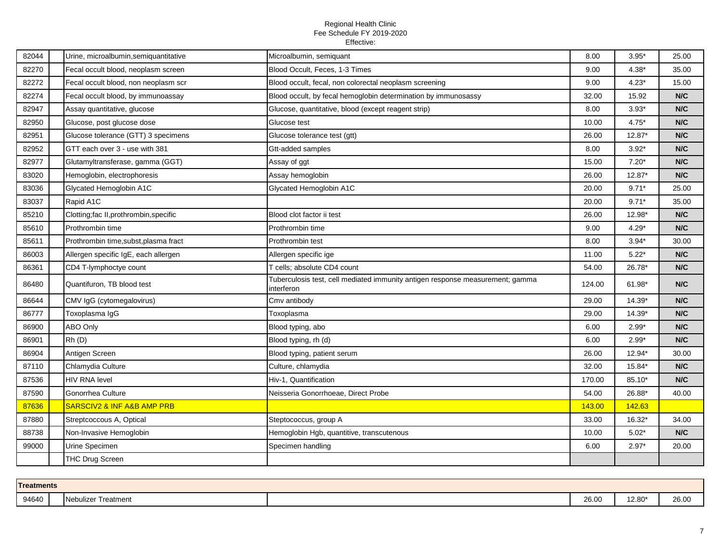| 82044 | Urine, microalbumin, semiquantitative     | Microalbumin, semiquant                                                                     | 8.00   | $3.95*$  | 25.00 |
|-------|-------------------------------------------|---------------------------------------------------------------------------------------------|--------|----------|-------|
| 82270 | Fecal occult blood, neoplasm screen       | Blood Occult, Feces, 1-3 Times                                                              | 9.00   | $4.38*$  | 35.00 |
| 82272 | Fecal occult blood, non neoplasm scr      | Blood occult, fecal, non colorectal neoplasm screening                                      | 9.00   | $4.23*$  | 15.00 |
| 82274 | Fecal occult blood, by immunoassay        | Blood occult, by fecal hemoglobin determination by immunosassy                              | 32.00  | 15.92    | N/C   |
| 82947 | Assay quantitative, glucose               | Glucose, quantitative, blood (except reagent strip)                                         | 8.00   | $3.93*$  | N/C   |
| 82950 | Glucose, post glucose dose                | Glucose test                                                                                | 10.00  | $4.75*$  | N/C   |
| 82951 | Glucose tolerance (GTT) 3 specimens       | Glucose tolerance test (gtt)                                                                | 26.00  | $12.87*$ | N/C   |
| 82952 | GTT each over 3 - use with 381            | Gtt-added samples                                                                           | 8.00   | $3.92*$  | N/C   |
| 82977 | Glutamyltransferase, gamma (GGT)          | Assay of ggt                                                                                | 15.00  | $7.20*$  | N/C   |
| 83020 | Hemoglobin, electrophoresis               | Assay hemoglobin                                                                            | 26.00  | $12.87*$ | N/C   |
| 83036 | Glycated Hemoglobin A1C                   | Glycated Hemoglobin A1C                                                                     | 20.00  | $9.71*$  | 25.00 |
| 83037 | Rapid A1C                                 |                                                                                             | 20.00  | $9.71*$  | 35.00 |
| 85210 | Clotting;fac II,prothrombin,specific      | Blood clot factor ii test                                                                   | 26.00  | 12.98*   | N/C   |
| 85610 | Prothrombin time                          | Prothrombin time                                                                            | 9.00   | $4.29*$  | N/C   |
| 85611 | Prothrombin time, subst, plasma fract     | Prothrombin test                                                                            | 8.00   | $3.94*$  | 30.00 |
| 86003 | Allergen specific IgE, each allergen      | Allergen specific ige                                                                       | 11.00  | $5.22*$  | N/C   |
| 86361 | CD4 T-lymphoctye count                    | T cells; absolute CD4 count                                                                 | 54.00  | 26.78*   | N/C   |
| 86480 | Quantifuron, TB blood test                | Tuberculosis test, cell mediated immunity antigen response measurement; gamma<br>interferon | 124.00 | 61.98*   | N/C   |
| 86644 | CMV IgG (cytomegalovirus)                 | Cmv antibody                                                                                | 29.00  | 14.39*   | N/C   |
| 86777 | Toxoplasma IgG                            | Toxoplasma                                                                                  | 29.00  | 14.39*   | N/C   |
| 86900 | ABO Only                                  | Blood typing, abo                                                                           | 6.00   | $2.99*$  | N/C   |
| 86901 | Rh(D)                                     | Blood typing, rh (d)                                                                        | 6.00   | $2.99*$  | N/C   |
| 86904 | Antigen Screen                            | Blood typing, patient serum                                                                 | 26.00  | 12.94*   | 30.00 |
| 87110 | Chlamydia Culture                         | Culture, chlamydia                                                                          | 32.00  | 15.84*   | N/C   |
| 87536 | <b>HIV RNA level</b>                      | Hiv-1, Quantification                                                                       | 170.00 | 85.10*   | N/C   |
| 87590 | Gonorrhea Culture                         | Neisseria Gonorrhoeae, Direct Probe                                                         | 54.00  | 26.88*   | 40.00 |
| 87636 | <b>SARSCIV2 &amp; INF A&amp;B AMP PRB</b> |                                                                                             | 143.00 | 142.63   |       |
| 87880 | Streptcoccous A, Optical                  | Steptococcus, group A                                                                       | 33.00  | 16.32*   | 34.00 |
| 88738 | Non-Invasive Hemoglobin                   | Hemoglobin Hgb, quantitive, transcutenous                                                   | 10.00  | $5.02*$  | N/C   |
| 99000 | Urine Specimen                            | Specimen handling                                                                           | 6.00   | $2.97*$  | 20.00 |
|       | THC Drug Screen                           |                                                                                             |        |          |       |
|       |                                           |                                                                                             |        |          |       |

| <b>Treatments</b> |  |                     |  |       |        |       |  |  |  |
|-------------------|--|---------------------|--|-------|--------|-------|--|--|--|
| 94640             |  | Nebulizer Treatment |  | 26.00 | 12.80* | 26.00 |  |  |  |